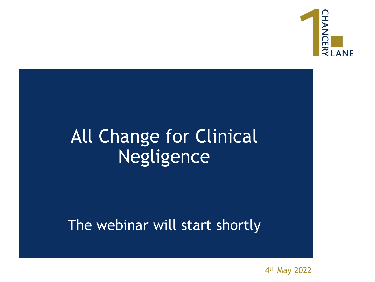

# All Change for Clinical Negligence

# The webinar will start shortly

4 th May 2022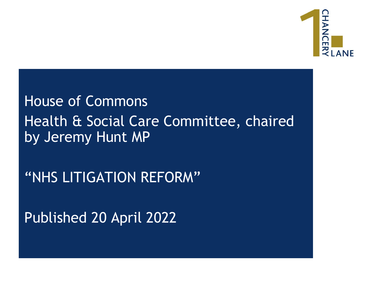

House of Commons Health & Social Care Committee, chaired by Jeremy Hunt MP

"NHS LITIGATION REFORM"

Published 20 April 2022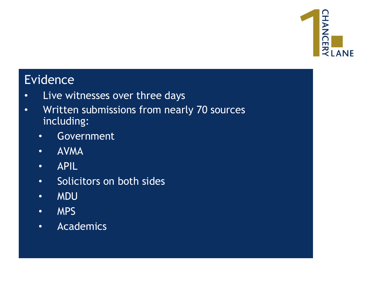

## Evidence

- Live witnesses over three days
- Written submissions from nearly 70 sources including:
	- Government
	- AVMA
	- APIL
	- Solicitors on both sides
	- MDU
	- MPS
	- Academics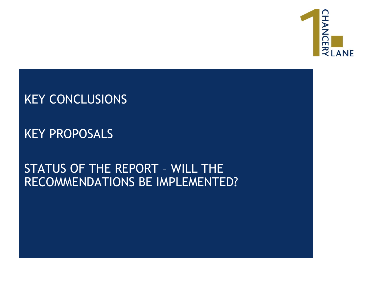

# KEY CONCLUSIONS

KEY PROPOSALS

## STATUS OF THE REPORT – WILL THE RECOMMENDATIONS BE IMPLEMENTED?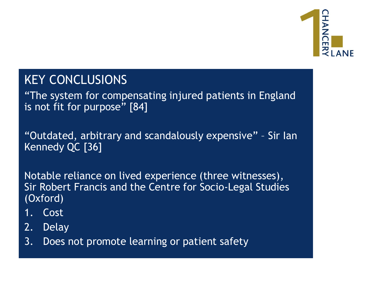

## KEY CONCLUSIONS

"The system for compensating injured patients in England is not fit for purpose" [84]

"Outdated, arbitrary and scandalously expensive" – Sir Ian Kennedy QC [36]

Notable reliance on lived experience (three witnesses), Sir Robert Francis and the Centre for Socio-Legal Studies (Oxford)

- 1. Cost
- 2. Delay
- 3. Does not promote learning or patient safety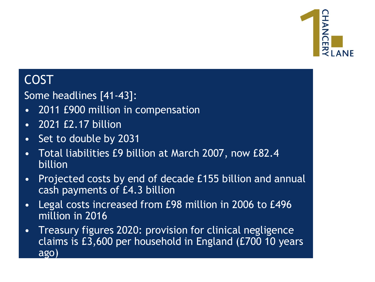

## **COST**

## Some headlines [41-43]:

- 2011 £900 million in compensation
- 2021 £2.17 billion
- Set to double by 2031
- Total liabilities £9 billion at March 2007, now £82.4 billion
- Projected costs by end of decade £155 billion and annual cash payments of £4.3 billion
- Legal costs increased from £98 million in 2006 to £496 million in 2016
- Treasury figures 2020: provision for clinical negligence claims is £3,600 per household in England (£700 10 years ago)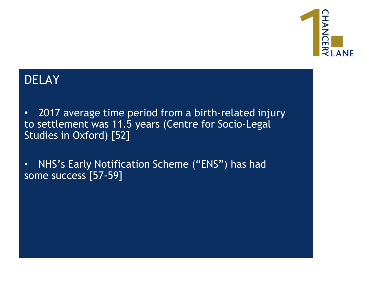

## DELAY

• 2017 average time period from a birth-related injury to settlement was 11.5 years (Centre for Socio-Legal Studies in Oxford) [52]

• NHS's Early Notification Scheme ("ENS") has had some success [57-59]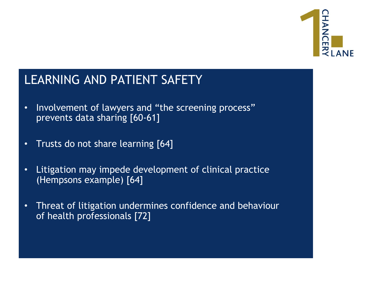

## LEARNING AND PATIENT SAFETY

- Involvement of lawyers and "the screening process" prevents data sharing [60-61]
- Trusts do not share learning [64]
- Litigation may impede development of clinical practice (Hempsons example) [64]
- Threat of litigation undermines confidence and behaviour of health professionals [72]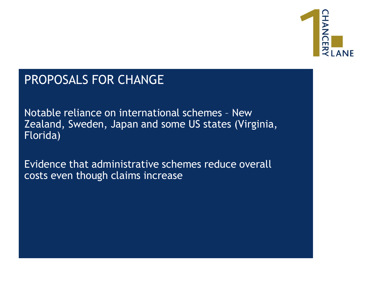

## PROPOSALS FOR CHANGE

Notable reliance on international schemes – New Zealand, Sweden, Japan and some US states (Virginia, Florida)

Evidence that administrative schemes reduce overall costs even though claims increase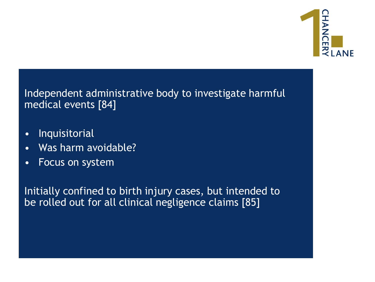

#### Independent administrative body to investigate harmful medical events [84]

- Inquisitorial
- Was harm avoidable?
- Focus on system

Initially confined to birth injury cases, but intended to be rolled out for all clinical negligence claims [85]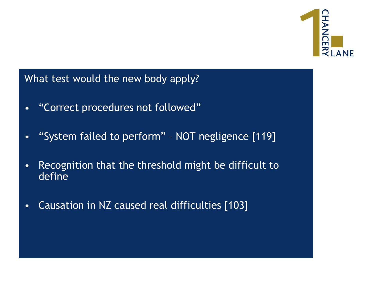

What test would the new body apply?

- "Correct procedures not followed"
- "System failed to perform" NOT negligence [119]
- Recognition that the threshold might be difficult to define
- Causation in NZ caused real difficulties [103]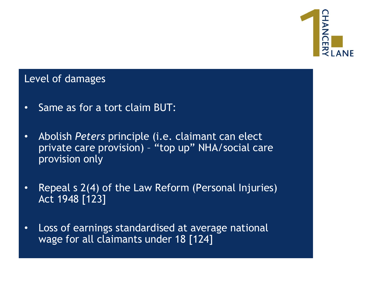

#### Level of damages

- Same as for a tort claim BUT:
- Abolish *Peters* principle (i.e. claimant can elect private care provision) – "top up" NHA/social care provision only
- Repeal s 2(4) of the Law Reform (Personal Injuries) Act 1948 [123]
- Loss of earnings standardised at average national wage for all claimants under 18 [124]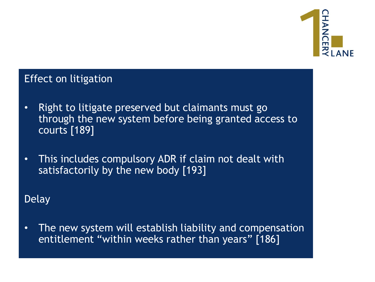

#### Effect on litigation

- Right to litigate preserved but claimants must go through the new system before being granted access to courts [189]
- This includes compulsory ADR if claim not dealt with satisfactorily by the new body [193]

#### Delay

• The new system will establish liability and compensation entitlement "within weeks rather than years" [186]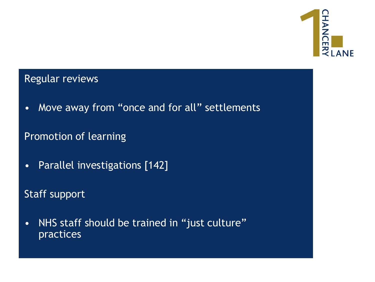

#### Regular reviews

• Move away from "once and for all" settlements

#### Promotion of learning

• Parallel investigations [142]

Staff support

• NHS staff should be trained in "just culture" practices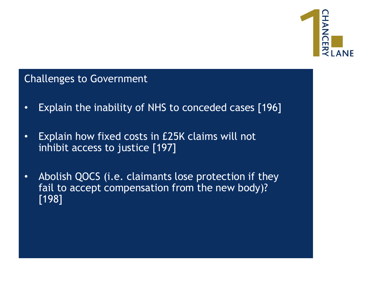

#### Challenges to Government

- Explain the inability of NHS to conceded cases [196]
- Explain how fixed costs in £25K claims will not inhibit access to justice [197]
- Abolish QOCS (i.e. claimants lose protection if they fail to accept compensation from the new body)? [198]